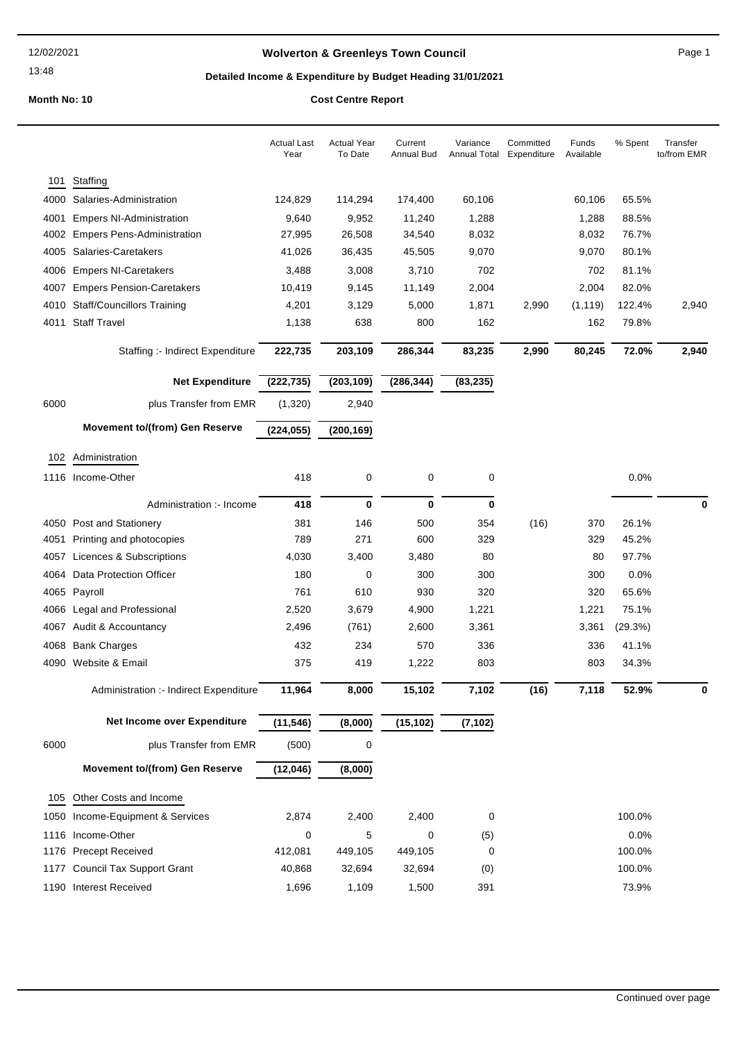#### 12/02/2021

13:48

## Wolverton & Greenleys Town Council **Access 19 and 20 and 20 and 20 and 20 and 20 and 20 and 20 and 20 and 20 and 20 and 20 and 20 and 20 and 20 and 20 and 20 and 20 and 20 and 20 and 20 and 20 and 20 and 20 and 20 and 20 a**

## Detailed Income & Expenditure by Budget Heading 31/01/2021

|              |                                                     | <b>Actual Last</b><br>Year | <b>Actual Year</b><br>To Date | Current<br><b>Annual Bud</b> | Variance<br><b>Annual Total</b> | Committed<br>Expenditure | Funds<br>Available | % Spent        | Transfer<br>to/from EMR |
|--------------|-----------------------------------------------------|----------------------------|-------------------------------|------------------------------|---------------------------------|--------------------------|--------------------|----------------|-------------------------|
| 101          | Staffing                                            |                            |                               |                              |                                 |                          |                    |                |                         |
| 4000         | Salaries-Administration                             | 124,829                    | 114,294                       | 174,400                      | 60,106                          |                          | 60,106             | 65.5%          |                         |
| 4001         | <b>Empers NI-Administration</b>                     | 9,640                      | 9,952                         | 11,240                       | 1,288                           |                          | 1,288              | 88.5%          |                         |
| 4002         | <b>Empers Pens-Administration</b>                   | 27,995                     | 26,508                        | 34,540                       | 8,032                           |                          | 8,032              | 76.7%          |                         |
| 4005         | Salaries-Caretakers                                 | 41,026                     | 36,435                        | 45,505                       | 9,070                           |                          | 9,070              | 80.1%          |                         |
| 4006         | <b>Empers NI-Caretakers</b>                         | 3,488                      | 3,008                         | 3,710                        | 702                             |                          | 702                | 81.1%          |                         |
| 4007         | <b>Empers Pension-Caretakers</b>                    | 10,419                     | 9,145                         | 11,149                       | 2,004                           |                          | 2,004              | 82.0%          |                         |
| 4010         | <b>Staff/Councillors Training</b>                   | 4,201                      | 3,129                         | 5,000                        | 1,871                           | 2,990                    | (1, 119)           | 122.4%         | 2,940                   |
| 4011         | <b>Staff Travel</b>                                 | 1,138                      | 638                           | 800                          | 162                             |                          | 162                | 79.8%          |                         |
|              | Staffing :- Indirect Expenditure                    | 222,735                    | 203,109                       | 286,344                      | 83,235                          | 2,990                    | 80,245             | 72.0%          | 2,940                   |
|              | Net Expenditure                                     | (222, 735)                 | (203, 109)                    | (286, 344)                   | (83, 235)                       |                          |                    |                |                         |
| 6000         | plus Transfer from EMR                              | (1,320)                    | 2,940                         |                              |                                 |                          |                    |                |                         |
|              | Movement to/(from) Gen Reserve                      | (224, 055)                 | (200, 169)                    |                              |                                 |                          |                    |                |                         |
| 102          | Administration                                      |                            |                               |                              |                                 |                          |                    |                |                         |
|              | 1116 Income-Other                                   | 418                        | 0                             | 0                            | 0                               |                          |                    | 0.0%           |                         |
|              |                                                     |                            |                               |                              |                                 |                          |                    |                |                         |
|              | Administration :- Income                            | 418                        | $\mathbf 0$                   | 0                            | 0                               |                          |                    |                | 0                       |
| 4050         | Post and Stationery                                 | 381                        | 146<br>271                    | 500                          | 354                             | (16)                     | 370                | 26.1%          |                         |
| 4051         | Printing and photocopies                            | 789                        | 3,400                         | 600<br>3,480                 | 329<br>80                       |                          | 329<br>80          | 45.2%<br>97.7% |                         |
| 4057         | Licences & Subscriptions<br>Data Protection Officer | 4,030<br>180               | 0                             | 300                          | 300                             |                          | 300                | 0.0%           |                         |
| 4064<br>4065 | Payroll                                             | 761                        | 610                           | 930                          | 320                             |                          | 320                | 65.6%          |                         |
| 4066         | Legal and Professional                              | 2,520                      | 3,679                         | 4,900                        | 1,221                           |                          | 1,221              | 75.1%          |                         |
| 4067         | Audit & Accountancy                                 | 2,496                      | (761)                         | 2,600                        | 3,361                           |                          | 3,361              | (29.3%)        |                         |
| 4068         | <b>Bank Charges</b>                                 | 432                        | 234                           | 570                          | 336                             |                          | 336                | 41.1%          |                         |
| 4090         | Website & Email                                     | 375                        | 419                           | 1,222                        | 803                             |                          | 803                | 34.3%          |                         |
|              |                                                     |                            |                               |                              |                                 |                          |                    |                |                         |
|              | Administration :- Indirect Expenditure              | 11,964                     | 8,000                         | 15,102                       | 7,102                           | (16)                     | 7,118              | 52.9%          | $\Omega$                |
|              | Net Income over Expenditure                         | (11, 546)                  | (8,000)                       | (15, 102)                    | (7, 102)                        |                          |                    |                |                         |
| 6000         | plus Transfer from EMR                              | (500)                      | $\pmb{0}$                     |                              |                                 |                          |                    |                |                         |
|              | Movement to/(from) Gen Reserve                      | (12,046)                   | (8,000)                       |                              |                                 |                          |                    |                |                         |
| 105          | Other Costs and Income                              |                            |                               |                              |                                 |                          |                    |                |                         |
| 1050         | Income-Equipment & Services                         | 2,874                      | 2,400                         | 2,400                        | 0                               |                          |                    | 100.0%         |                         |
| 1116         | Income-Other                                        | 0                          | 5                             | 0                            | (5)                             |                          |                    | 0.0%           |                         |
|              | 1176 Precept Received                               | 412,081                    | 449,105                       | 449,105                      | 0                               |                          |                    | 100.0%         |                         |
| 1177         | <b>Council Tax Support Grant</b>                    | 40,868                     | 32,694                        | 32,694                       | (0)                             |                          |                    | 100.0%         |                         |
|              | 1190 Interest Received                              | 1,696                      | 1,109                         | 1,500                        | 391                             |                          |                    | 73.9%          |                         |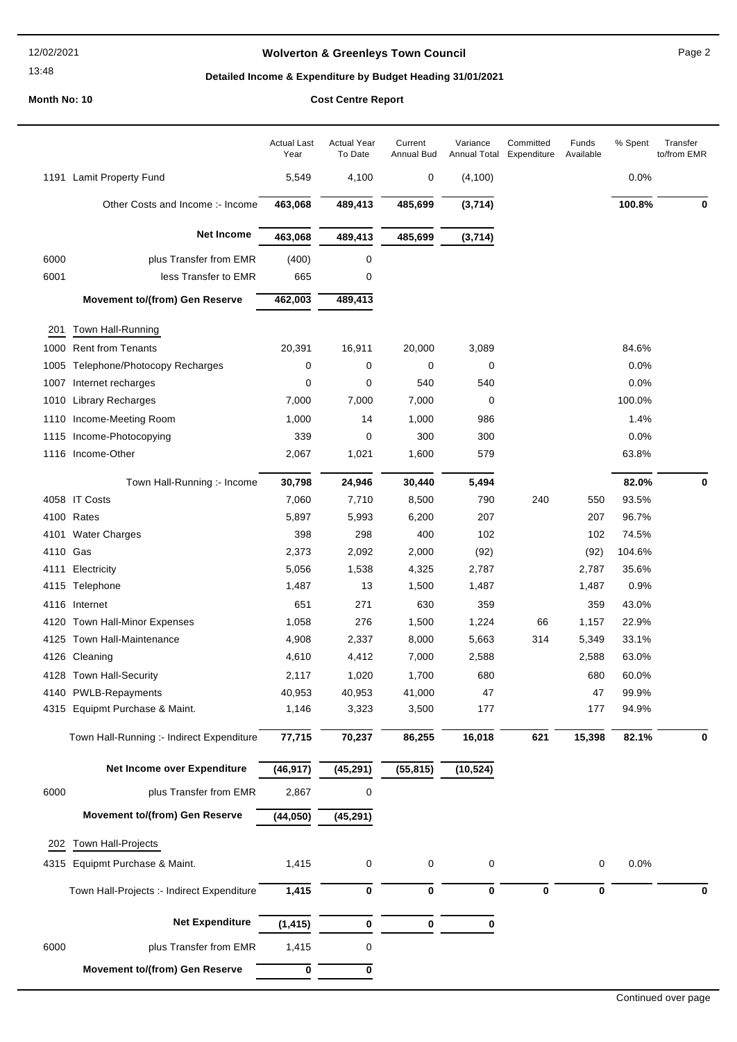#### 12/02/2021

13:48

## Wolverton & Greenleys Town Council **Page 2** Page 2

# Detailed Income & Expenditure by Budget Heading 31/01/2021

|                  |                                                        | <b>Actual Last</b><br>Year | <b>Actual Year</b><br>To Date | Current<br>Annual Bud | Variance<br>Annual Total | Committed<br>Expenditure | Funds<br>Available | % Spent        | Transfer<br>to/from EMR |
|------------------|--------------------------------------------------------|----------------------------|-------------------------------|-----------------------|--------------------------|--------------------------|--------------------|----------------|-------------------------|
|                  | 1191 Lamit Property Fund                               | 5,549                      | 4,100                         | 0                     | (4, 100)                 |                          |                    | 0.0%           |                         |
|                  | Other Costs and Income :- Income                       | 463,068                    | 489,413                       | 485,699               | (3,714)                  |                          |                    | 100.8%         | 0                       |
|                  | Net Income                                             | 463,068                    | 489,413                       | 485,699               | (3,714)                  |                          |                    |                |                         |
| 6000             | plus Transfer from EMR                                 | (400)                      | 0                             |                       |                          |                          |                    |                |                         |
| 6001             | less Transfer to EMR                                   | 665                        | 0                             |                       |                          |                          |                    |                |                         |
|                  | Movement to/(from) Gen Reserve                         | 462,003                    | 489,413                       |                       |                          |                          |                    |                |                         |
| 201              | Town Hall-Running                                      |                            |                               |                       |                          |                          |                    |                |                         |
| 1000             | <b>Rent from Tenants</b>                               | 20,391                     | 16,911                        | 20,000                | 3,089                    |                          |                    | 84.6%          |                         |
| 1005             | Telephone/Photocopy Recharges                          | 0                          | 0                             | 0                     | 0                        |                          |                    | 0.0%           |                         |
| 1007             | Internet recharges                                     | 0                          | 0                             | 540                   | 540                      |                          |                    | 0.0%           |                         |
| 1010             | <b>Library Recharges</b>                               | 7,000                      | 7,000                         | 7,000                 | 0                        |                          |                    | 100.0%         |                         |
| 1110             | Income-Meeting Room                                    | 1,000                      | 14                            | 1,000                 | 986                      |                          |                    | 1.4%           |                         |
| 1115             | Income-Photocopying                                    | 339                        | 0                             | 300                   | 300                      |                          |                    | 0.0%           |                         |
|                  | 1116 Income-Other                                      | 2,067                      | 1,021                         | 1,600                 | 579                      |                          |                    | 63.8%          |                         |
|                  |                                                        |                            |                               |                       |                          |                          |                    |                |                         |
|                  | Town Hall-Running :- Income                            | 30,798                     | 24,946                        | 30,440                | 5,494                    |                          |                    | 82.0%          | 0                       |
|                  | 4058 IT Costs                                          | 7,060                      | 7,710                         | 8,500                 | 790                      | 240                      | 550                | 93.5%          |                         |
|                  | 4100 Rates                                             | 5,897                      | 5,993                         | 6,200                 | 207                      |                          | 207                | 96.7%          |                         |
| 4101<br>4110 Gas | <b>Water Charges</b>                                   | 398                        | 298                           | 400                   | 102                      |                          | 102                | 74.5%          |                         |
|                  |                                                        | 2,373                      | 2,092                         | 2,000                 | (92)                     |                          | (92)               | 104.6%         |                         |
| 4111             | Electricity                                            | 5,056                      | 1,538                         | 4,325                 | 2,787                    |                          | 2,787              | 35.6%          |                         |
|                  | 4115 Telephone                                         | 1,487                      | 13                            | 1,500                 | 1,487                    |                          | 1,487              | 0.9%           |                         |
| 4116             | Internet                                               | 651                        | 271                           | 630                   | 359                      |                          | 359                | 43.0%          |                         |
|                  | 4120 Town Hall-Minor Expenses                          | 1,058                      | 276                           | 1,500                 | 1,224                    | 66                       | 1,157              | 22.9%          |                         |
|                  | 4125 Town Hall-Maintenance                             | 4,908                      | 2,337                         | 8,000                 | 5,663                    | 314                      | 5,349              | 33.1%          |                         |
|                  | 4126 Cleaning                                          | 4,610                      | 4,412                         | 7,000                 | 2,588                    |                          | 2,588              | 63.0%          |                         |
|                  | 4128 Town Hall-Security                                | 2,117                      | 1,020                         | 1,700                 | 680                      |                          | 680                | 60.0%          |                         |
|                  | 4140 PWLB-Repayments<br>4315 Equipmt Purchase & Maint. | 40,953<br>1,146            | 40,953<br>3,323               | 41,000<br>3,500       | 47<br>177                |                          | 47<br>177          | 99.9%<br>94.9% |                         |
|                  |                                                        |                            |                               |                       |                          |                          |                    |                |                         |
|                  | Town Hall-Running :- Indirect Expenditure              | 77,715                     | 70,237                        | 86,255                | 16,018                   | 621                      | 15,398             | 82.1%          | 0                       |
|                  | Net Income over Expenditure                            | (46, 917)                  | (45, 291)                     | (55, 815)             | (10, 524)                |                          |                    |                |                         |
| 6000             | plus Transfer from EMR                                 | 2,867                      | 0                             |                       |                          |                          |                    |                |                         |
|                  | Movement to/(from) Gen Reserve                         | (44,050)                   | (45, 291)                     |                       |                          |                          |                    |                |                         |
| 202              | Town Hall-Projects                                     |                            |                               |                       |                          |                          |                    |                |                         |
| 4315             | Equipmt Purchase & Maint.                              | 1,415                      | 0                             | 0                     | $\pmb{0}$                |                          | 0                  | 0.0%           |                         |
|                  |                                                        |                            |                               |                       |                          |                          |                    |                |                         |
|                  | Town Hall-Projects :- Indirect Expenditure             | 1,415                      | 0                             | 0                     | $\mathbf 0$              | $\pmb{0}$                | 0                  |                | 0                       |
|                  | Net Expenditure                                        | (1, 415)                   | 0                             | 0                     | 0                        |                          |                    |                |                         |
| 6000             | plus Transfer from EMR                                 | 1,415                      | 0                             |                       |                          |                          |                    |                |                         |
|                  |                                                        |                            |                               |                       |                          |                          |                    |                |                         |
|                  | Movement to/(from) Gen Reserve                         | 0                          | 0                             |                       |                          |                          |                    |                |                         |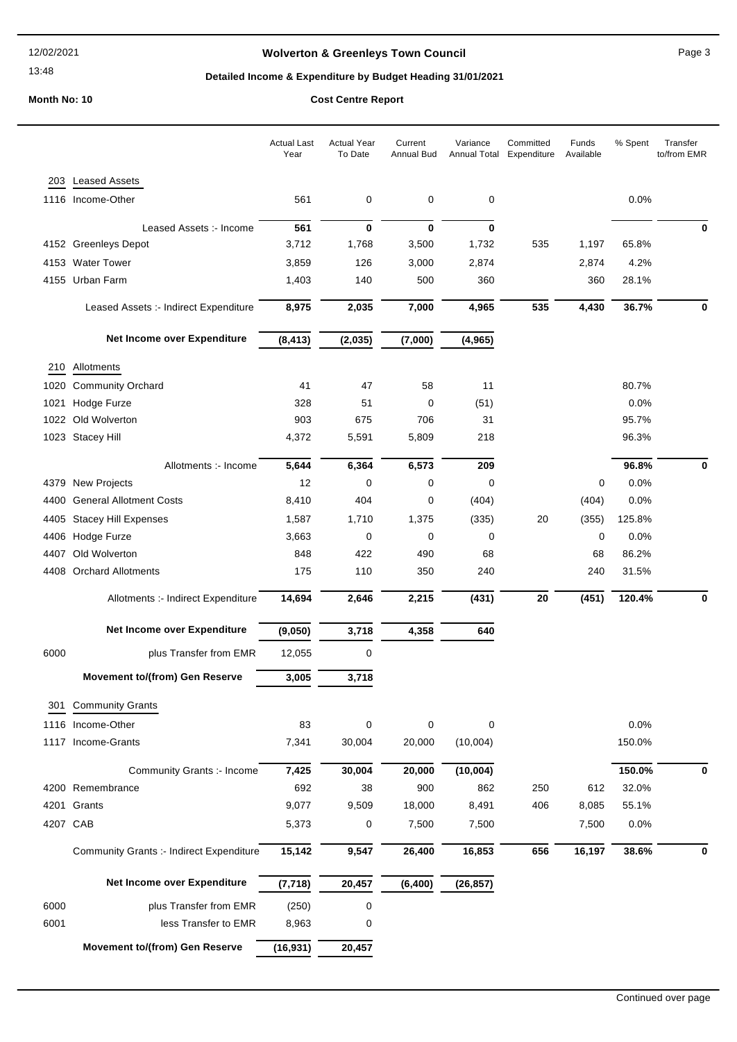13:48

## **Wolverton & Greenleys Town Council** Magness Council Page 3

## **Detailed Income & Expenditure by Budget Heading 31/01/2021**

|      |                                          | <b>Actual Last</b><br>Year | <b>Actual Year</b><br>To Date | Current<br><b>Annual Bud</b> | Variance<br>Annual Total | Committed<br>Expenditure | Funds<br>Available | % Spent | Transfer<br>to/from EMR |
|------|------------------------------------------|----------------------------|-------------------------------|------------------------------|--------------------------|--------------------------|--------------------|---------|-------------------------|
| 203  | <b>Leased Assets</b>                     |                            |                               |                              |                          |                          |                    |         |                         |
| 1116 | Income-Other                             | 561                        | 0                             | 0                            | 0                        |                          |                    | 0.0%    |                         |
|      | Leased Assets :- Income                  | 561                        | $\mathbf 0$                   | $\bf{0}$                     | $\bf{0}$                 |                          |                    |         | 0                       |
|      | 4152 Greenleys Depot                     | 3,712                      | 1,768                         | 3,500                        | 1,732                    | 535                      | 1,197              | 65.8%   |                         |
|      | 4153 Water Tower                         | 3,859                      | 126                           | 3,000                        | 2,874                    |                          | 2,874              | 4.2%    |                         |
|      | 4155 Urban Farm                          | 1,403                      | 140                           | 500                          | 360                      |                          | 360                | 28.1%   |                         |
|      | Leased Assets :- Indirect Expenditure    | 8,975                      | 2,035                         | 7,000                        | 4,965                    | 535                      | 4,430              | 36.7%   | 0                       |
|      | Net Income over Expenditure              | (8, 413)                   | (2,035)                       | (7,000)                      | (4, 965)                 |                          |                    |         |                         |
| 210  | Allotments                               |                            |                               |                              |                          |                          |                    |         |                         |
| 1020 | <b>Community Orchard</b>                 | 41                         | 47                            | 58                           | 11                       |                          |                    | 80.7%   |                         |
| 1021 | Hodge Furze                              | 328                        | 51                            | 0                            | (51)                     |                          |                    | 0.0%    |                         |
| 1022 | Old Wolverton                            | 903                        | 675                           | 706                          | 31                       |                          |                    | 95.7%   |                         |
|      | 1023 Stacey Hill                         | 4,372                      | 5,591                         | 5,809                        | 218                      |                          |                    | 96.3%   |                         |
|      | Allotments :- Income                     | 5,644                      | 6,364                         | 6,573                        | 209                      |                          |                    | 96.8%   | 0                       |
| 4379 | <b>New Projects</b>                      | 12                         | 0                             | 0                            | 0                        |                          | 0                  | 0.0%    |                         |
| 4400 | <b>General Allotment Costs</b>           | 8,410                      | 404                           | 0                            | (404)                    |                          | (404)              | 0.0%    |                         |
| 4405 | <b>Stacey Hill Expenses</b>              | 1,587                      | 1,710                         | 1,375                        | (335)                    | 20                       | (355)              | 125.8%  |                         |
| 4406 | Hodge Furze                              | 3,663                      | 0                             | 0                            | 0                        |                          | $\mathbf 0$        | 0.0%    |                         |
| 4407 | Old Wolverton                            | 848                        | 422                           | 490                          | 68                       |                          | 68                 | 86.2%   |                         |
| 4408 | <b>Orchard Allotments</b>                | 175                        | 110                           | 350                          | 240                      |                          | 240                | 31.5%   |                         |
|      | Allotments :- Indirect Expenditure       | 14,694                     | 2,646                         | 2,215                        | (431)                    | 20                       | (451)              | 120.4%  | 0                       |
|      | Net Income over Expenditure              | (9,050)                    | 3,718                         | 4,358                        | 640                      |                          |                    |         |                         |
| 6000 | plus Transfer from EMR                   | 12,055                     | $\mathbf 0$                   |                              |                          |                          |                    |         |                         |
|      | <b>Movement to/(from) Gen Reserve</b>    | 3,005                      | 3,718                         |                              |                          |                          |                    |         |                         |
| 301  | <b>Community Grants</b>                  |                            |                               |                              |                          |                          |                    |         |                         |
|      | 1116 Income-Other                        | 83                         | 0                             | 0                            | 0                        |                          |                    | 0.0%    |                         |
|      | 1117 Income-Grants                       | 7,341                      | 30,004                        | 20,000                       | (10,004)                 |                          |                    | 150.0%  |                         |
|      | Community Grants :- Income               | 7,425                      | 30,004                        | 20,000                       | (10,004)                 |                          |                    | 150.0%  | 0                       |
|      | 4200 Remembrance                         | 692                        | 38                            | 900                          | 862                      | 250                      | 612                | 32.0%   |                         |
|      | 4201 Grants                              | 9,077                      | 9,509                         | 18,000                       | 8,491                    | 406                      | 8,085              | 55.1%   |                         |
|      | 4207 CAB                                 | 5,373                      | 0                             | 7,500                        | 7,500                    |                          | 7,500              | 0.0%    |                         |
|      | Community Grants :- Indirect Expenditure | 15,142                     | 9,547                         | 26,400                       | 16,853                   | 656                      | 16,197             | 38.6%   | 0                       |
|      | Net Income over Expenditure              | (7, 718)                   | 20,457                        | (6, 400)                     | (26, 857)                |                          |                    |         |                         |
| 6000 | plus Transfer from EMR                   | (250)                      | $\pmb{0}$                     |                              |                          |                          |                    |         |                         |
| 6001 | less Transfer to EMR                     | 8,963                      | 0                             |                              |                          |                          |                    |         |                         |
|      | <b>Movement to/(from) Gen Reserve</b>    | (16, 931)                  | 20,457                        |                              |                          |                          |                    |         |                         |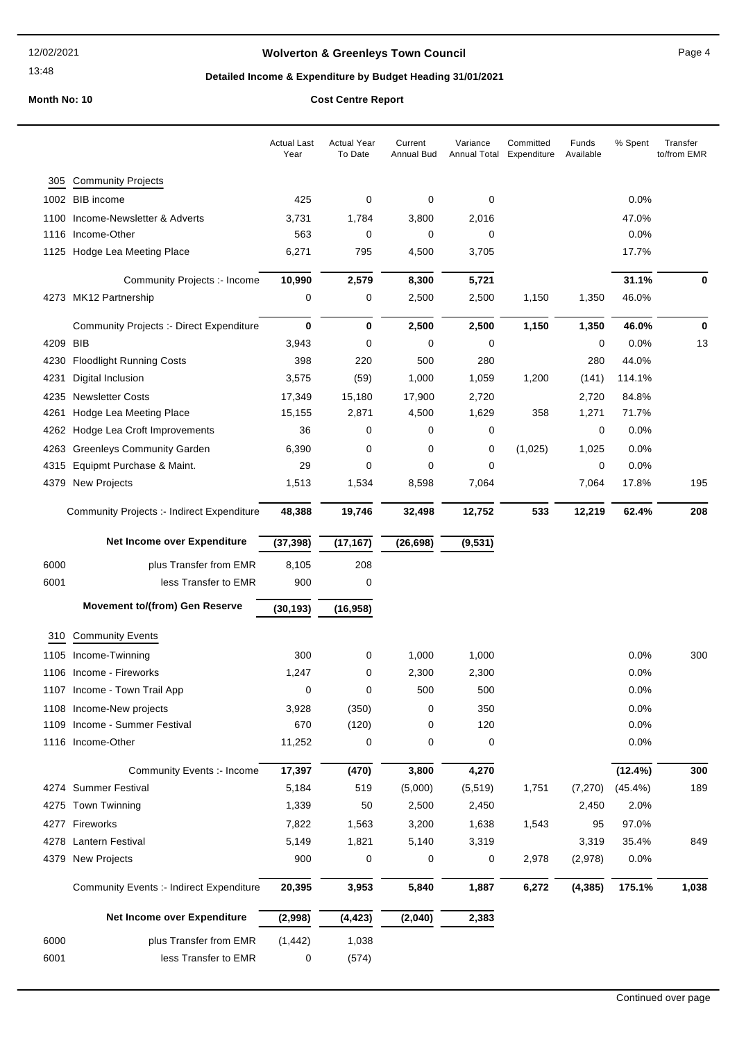13:48

## Wolverton & Greenleys Town Council **Page 4** Page 4

## Detailed Income & Expenditure by Budget Heading 31/01/2021

|      |                                                 | <b>Actual Last</b><br>Year | <b>Actual Year</b><br>To Date | Current<br>Annual Bud | Variance<br><b>Annual Total</b> | Committed<br>Expenditure | Funds<br>Available | % Spent    | Transfer<br>to/from EMR |
|------|-------------------------------------------------|----------------------------|-------------------------------|-----------------------|---------------------------------|--------------------------|--------------------|------------|-------------------------|
| 305  | <b>Community Projects</b>                       |                            |                               |                       |                                 |                          |                    |            |                         |
| 1002 | <b>BIB</b> income                               | 425                        | 0                             | 0                     | 0                               |                          |                    | 0.0%       |                         |
| 1100 | Income-Newsletter & Adverts                     | 3,731                      | 1,784                         | 3,800                 | 2,016                           |                          |                    | 47.0%      |                         |
| 1116 | Income-Other                                    | 563                        | 0                             | 0                     | 0                               |                          |                    | 0.0%       |                         |
| 1125 | Hodge Lea Meeting Place                         | 6,271                      | 795                           | 4,500                 | 3,705                           |                          |                    | 17.7%      |                         |
|      | Community Projects :- Income                    | 10,990                     | 2,579                         | 8,300                 | 5,721                           |                          |                    | 31.1%      | 0                       |
|      | 4273 MK12 Partnership                           | 0                          | 0                             | 2,500                 | 2,500                           | 1,150                    | 1,350              | 46.0%      |                         |
|      | Community Projects :- Direct Expenditure        | 0                          | 0                             | 2,500                 | 2,500                           | 1,150                    | 1,350              | 46.0%      | 0                       |
| 4209 | BIB                                             | 3,943                      | 0                             | 0                     | 0                               |                          | 0                  | 0.0%       | 13                      |
| 4230 | <b>Floodlight Running Costs</b>                 | 398                        | 220                           | 500                   | 280                             |                          | 280                | 44.0%      |                         |
| 4231 | Digital Inclusion                               | 3,575                      | (59)                          | 1,000                 | 1,059                           | 1,200                    | (141)              | 114.1%     |                         |
| 4235 | <b>Newsletter Costs</b>                         | 17,349                     | 15,180                        | 17,900                | 2,720                           |                          | 2,720              | 84.8%      |                         |
| 4261 | Hodge Lea Meeting Place                         | 15,155                     | 2,871                         | 4,500                 | 1,629                           | 358                      | 1,271              | 71.7%      |                         |
| 4262 | Hodge Lea Croft Improvements                    | 36                         | 0                             | 0                     | 0                               |                          | 0                  | 0.0%       |                         |
| 4263 | <b>Greenleys Community Garden</b>               | 6,390                      | 0                             | 0                     | 0                               | (1,025)                  | 1,025              | 0.0%       |                         |
| 4315 | Equipmt Purchase & Maint.                       | 29                         | 0                             | 0                     | 0                               |                          | 0                  | 0.0%       |                         |
| 4379 | <b>New Projects</b>                             | 1,513                      | 1,534                         | 8,598                 | 7,064                           |                          | 7,064              | 17.8%      | 195                     |
|      | Community Projects :- Indirect Expenditure      | 48,388                     | 19,746                        | 32,498                | 12,752                          | 533                      | 12,219             | 62.4%      | 208                     |
|      | Net Income over Expenditure                     | (37, 398)                  | (17, 167)                     | (26, 698)             | (9,531)                         |                          |                    |            |                         |
| 6000 | plus Transfer from EMR                          | 8,105                      | 208                           |                       |                                 |                          |                    |            |                         |
| 6001 | less Transfer to EMR                            | 900                        | 0                             |                       |                                 |                          |                    |            |                         |
|      | Movement to/(from) Gen Reserve                  | (30, 193)                  | (16, 958)                     |                       |                                 |                          |                    |            |                         |
| 310  | <b>Community Events</b>                         |                            |                               |                       |                                 |                          |                    |            |                         |
| 1105 | Income-Twinning                                 | 300                        | 0                             | 1,000                 | 1,000                           |                          |                    | 0.0%       | 300                     |
|      | 1106 Income - Fireworks                         | 1,247                      | 0                             | 2,300                 | 2,300                           |                          |                    | 0.0%       |                         |
|      | 1107 Income - Town Trail App                    | 0                          | 0                             | 500                   | 500                             |                          |                    | 0.0%       |                         |
|      | 1108 Income-New projects                        | 3,928                      | (350)                         | 0                     | 350                             |                          |                    | 0.0%       |                         |
|      | 1109 Income - Summer Festival                   | 670                        | (120)                         | 0                     | 120                             |                          |                    | 0.0%       |                         |
|      | 1116 Income-Other                               | 11,252                     | 0                             | 0                     | 0                               |                          |                    | 0.0%       |                         |
|      | Community Events :- Income                      | 17,397                     | (470)                         | 3,800                 | 4,270                           |                          |                    | $(12.4\%)$ | 300                     |
|      | 4274 Summer Festival                            | 5,184                      | 519                           | (5,000)               | (5, 519)                        | 1,751                    | (7, 270)           | $(45.4\%)$ | 189                     |
| 4275 | <b>Town Twinning</b>                            | 1,339                      | 50                            | 2,500                 | 2,450                           |                          | 2,450              | 2.0%       |                         |
|      | 4277 Fireworks                                  | 7,822                      | 1,563                         | 3,200                 | 1,638                           | 1,543                    | 95                 | 97.0%      |                         |
|      | 4278 Lantern Festival                           | 5,149                      | 1,821                         | 5,140                 | 3,319                           |                          | 3,319              | 35.4%      | 849                     |
| 4379 | New Projects                                    | 900                        | 0                             | 0                     | 0                               | 2,978                    | (2,978)            | 0.0%       |                         |
|      | <b>Community Events :- Indirect Expenditure</b> | 20,395                     | 3,953                         | 5,840                 | 1,887                           | 6,272                    | (4, 385)           | 175.1%     | 1,038                   |
|      | Net Income over Expenditure                     | (2,998)                    | (4, 423)                      | (2,040)               | 2,383                           |                          |                    |            |                         |
| 6000 | plus Transfer from EMR                          | (1, 442)                   | 1,038                         |                       |                                 |                          |                    |            |                         |
| 6001 | less Transfer to EMR                            | 0                          | (574)                         |                       |                                 |                          |                    |            |                         |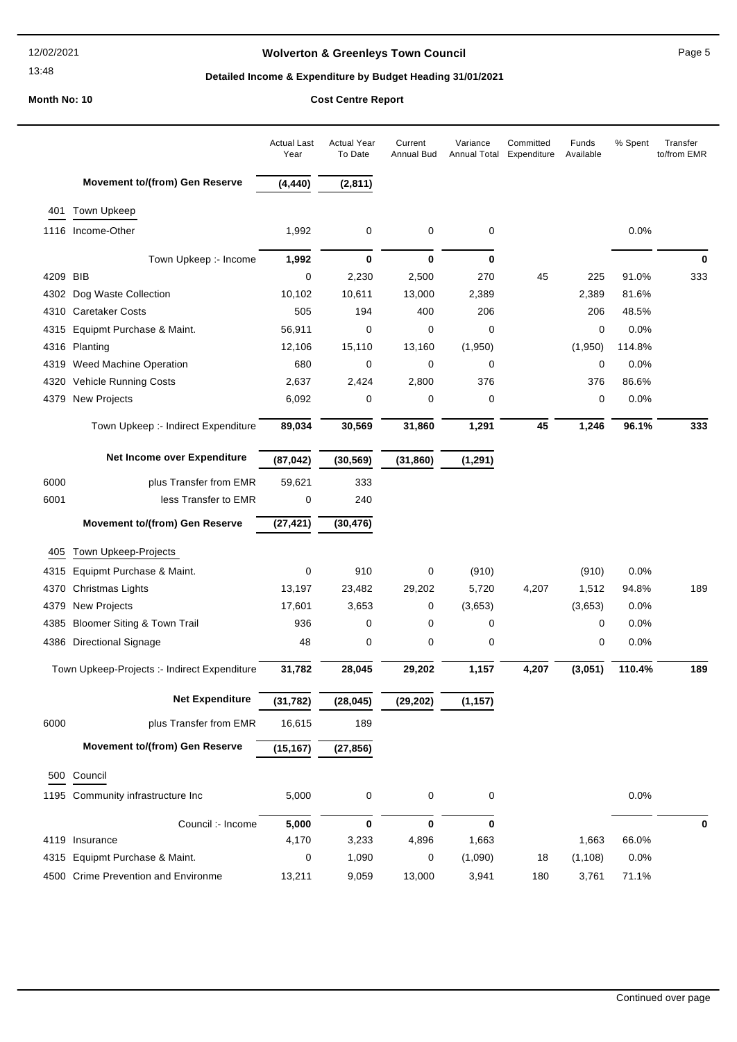13:48

## Wolverton & Greenleys Town Council **Page 5** Page 5

## Detailed Income & Expenditure by Budget Heading 31/01/2021

|      |                                              | <b>Actual Last</b><br>Year | <b>Actual Year</b><br>To Date | Current<br>Annual Bud | Variance<br>Annual Total | Committed<br>Expenditure | Funds<br>Available | % Spent | Transfer<br>to/from EMR |
|------|----------------------------------------------|----------------------------|-------------------------------|-----------------------|--------------------------|--------------------------|--------------------|---------|-------------------------|
|      | Movement to/(from) Gen Reserve               | (4, 440)                   | (2, 811)                      |                       |                          |                          |                    |         |                         |
| 401  | Town Upkeep                                  |                            |                               |                       |                          |                          |                    |         |                         |
| 1116 | Income-Other                                 | 1,992                      | 0                             | 0                     | 0                        |                          |                    | 0.0%    |                         |
|      | Town Upkeep :- Income                        | 1,992                      | $\mathbf 0$                   | $\mathbf 0$           | 0                        |                          |                    |         | 0                       |
| 4209 | <b>BIB</b>                                   | 0                          | 2,230                         | 2,500                 | 270                      | 45                       | 225                | 91.0%   | 333                     |
| 4302 | Dog Waste Collection                         | 10,102                     | 10,611                        | 13,000                | 2,389                    |                          | 2,389              | 81.6%   |                         |
| 4310 | <b>Caretaker Costs</b>                       | 505                        | 194                           | 400                   | 206                      |                          | 206                | 48.5%   |                         |
| 4315 | Equipmt Purchase & Maint.                    | 56,911                     | 0                             | 0                     | 0                        |                          | 0                  | 0.0%    |                         |
| 4316 | Planting                                     | 12,106                     | 15,110                        | 13,160                | (1,950)                  |                          | (1,950)            | 114.8%  |                         |
| 4319 | Weed Machine Operation                       | 680                        | 0                             | 0                     | 0                        |                          | $\mathbf 0$        | 0.0%    |                         |
| 4320 | Vehicle Running Costs                        | 2,637                      | 2,424                         | 2,800                 | 376                      |                          | 376                | 86.6%   |                         |
| 4379 | <b>New Projects</b>                          | 6,092                      | 0                             | 0                     | 0                        |                          | 0                  | 0.0%    |                         |
|      | Town Upkeep :- Indirect Expenditure          | 89,034                     | 30,569                        | 31,860                | 1,291                    | 45                       | 1,246              | 96.1%   | 333                     |
|      | Net Income over Expenditure                  | (87, 042)                  | (30, 569)                     | (31, 860)             | (1, 291)                 |                          |                    |         |                         |
| 6000 | plus Transfer from EMR                       | 59,621                     | 333                           |                       |                          |                          |                    |         |                         |
| 6001 | less Transfer to EMR                         | 0                          | 240                           |                       |                          |                          |                    |         |                         |
|      | Movement to/(from) Gen Reserve               | (27, 421)                  | (30, 476)                     |                       |                          |                          |                    |         |                         |
| 405  | Town Upkeep-Projects                         |                            |                               |                       |                          |                          |                    |         |                         |
| 4315 | Equipmt Purchase & Maint.                    | 0                          | 910                           | 0                     | (910)                    |                          | (910)              | 0.0%    |                         |
| 4370 | Christmas Lights                             | 13,197                     | 23,482                        | 29,202                | 5,720                    | 4,207                    | 1,512              | 94.8%   | 189                     |
| 4379 | <b>New Projects</b>                          | 17,601                     | 3,653                         | 0                     | (3,653)                  |                          | (3,653)            | 0.0%    |                         |
| 4385 | <b>Bloomer Siting &amp; Town Trail</b>       | 936                        | 0                             | $\mathbf 0$           | 0                        |                          | 0                  | 0.0%    |                         |
| 4386 | <b>Directional Signage</b>                   | 48                         | 0                             | 0                     | 0                        |                          | 0                  | 0.0%    |                         |
|      | Town Upkeep-Projects :- Indirect Expenditure | 31,782                     | 28,045                        | 29,202                | 1,157                    | 4,207                    | (3,051)            | 110.4%  | 189                     |
|      | Net Expenditure                              | (31, 782)                  | (28, 045)                     | (29, 202)             | (1, 157)                 |                          |                    |         |                         |
| 6000 | plus Transfer from EMR                       | 16,615                     | 189                           |                       |                          |                          |                    |         |                         |
|      | Movement to/(from) Gen Reserve               | (15, 167)                  | (27, 856)                     |                       |                          |                          |                    |         |                         |
|      | 500 Council                                  |                            |                               |                       |                          |                          |                    |         |                         |
|      | 1195 Community infrastructure Inc            | 5,000                      | 0                             | 0                     | 0                        |                          |                    | 0.0%    |                         |
|      |                                              |                            |                               |                       |                          |                          |                    |         |                         |
|      | Council :- Income<br>4119 Insurance          | 5,000                      | $\mathbf 0$                   | $\mathbf 0$           | $\mathbf 0$              |                          | 1,663              | 66.0%   | 0                       |
|      |                                              | 4,170                      | 3,233                         | 4,896                 | 1,663                    |                          |                    |         |                         |
| 4315 | Equipmt Purchase & Maint.                    | 0                          | 1,090                         | 0                     | (1,090)                  | 18                       | (1, 108)           | 0.0%    |                         |
|      | 4500 Crime Prevention and Environme          | 13,211                     | 9,059                         | 13,000                | 3,941                    | 180                      | 3,761              | 71.1%   |                         |